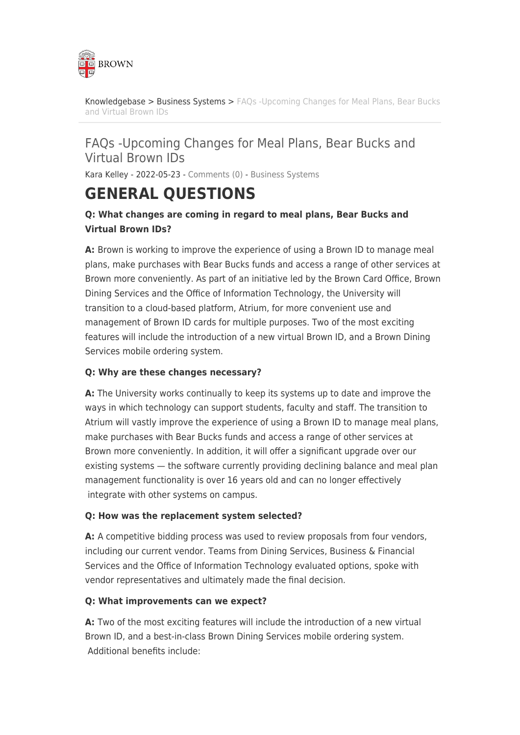

[Knowledgebase](https://ithelp.brown.edu/kb) > [Business Systems](https://ithelp.brown.edu/kb/business-systems) > [FAQs -Upcoming Changes for Meal Plans, Bear Bucks](https://ithelp.brown.edu/kb/articles/faqs-upcoming-changes-for-meal-plans-bear-bucks-and-virtual-brown-ids) [and Virtual Brown IDs](https://ithelp.brown.edu/kb/articles/faqs-upcoming-changes-for-meal-plans-bear-bucks-and-virtual-brown-ids)

## FAQs -Upcoming Changes for Meal Plans, Bear Bucks and Virtual Brown IDs

Kara Kelley - 2022-05-23 - [Comments \(0\)](#page--1-0) - [Business Systems](https://ithelp.brown.edu/kb/business-systems)

## **GENERAL QUESTIONS**

## **Q: What changes are coming in regard to meal plans, Bear Bucks and Virtual Brown IDs?**

**A:** Brown is working to improve the experience of using a Brown ID to manage meal plans, make purchases with Bear Bucks funds and access a range of other services at Brown more conveniently. As part of an initiative led by the Brown Card Office, Brown Dining Services and the Office of Information Technology, the University will transition to a cloud-based platform, Atrium, for more convenient use and management of Brown ID cards for multiple purposes. Two of the most exciting features will include the introduction of a new virtual Brown ID, and a Brown Dining Services mobile ordering system.

#### **Q: Why are these changes necessary?**

**A:** The University works continually to keep its systems up to date and improve the ways in which technology can support students, faculty and staff. The transition to Atrium will vastly improve the experience of using a Brown ID to manage meal plans, make purchases with Bear Bucks funds and access a range of other services at Brown more conveniently. In addition, it will offer a significant upgrade over our existing systems — the software currently providing declining balance and meal plan management functionality is over 16 years old and can no longer effectively integrate with other systems on campus.

#### **Q: How was the replacement system selected?**

**A:** A competitive bidding process was used to review proposals from four vendors, including our current vendor. Teams from Dining Services, Business & Financial Services and the Office of Information Technology evaluated options, spoke with vendor representatives and ultimately made the final decision.

#### **Q: What improvements can we expect?**

**A:** Two of the most exciting features will include the introduction of a new virtual Brown ID, and a best-in-class Brown Dining Services mobile ordering system. Additional benefits include: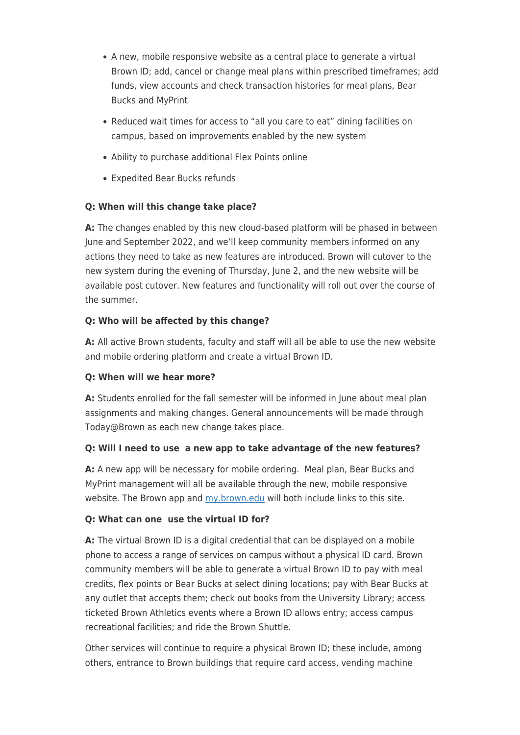- A new, mobile responsive website as a central place to generate a virtual Brown ID; add, cancel or change meal plans within prescribed timeframes; add funds, view accounts and check transaction histories for meal plans, Bear Bucks and MyPrint
- Reduced wait times for access to "all you care to eat" dining facilities on campus, based on improvements enabled by the new system
- Ability to purchase additional Flex Points online
- Expedited Bear Bucks refunds

#### **Q: When will this change take place?**

**A:** The changes enabled by this new cloud-based platform will be phased in between June and September 2022, and we'll keep community members informed on any actions they need to take as new features are introduced. Brown will cutover to the new system during the evening of Thursday, June 2, and the new website will be available post cutover. New features and functionality will roll out over the course of the summer.

#### **Q: Who will be affected by this change?**

**A:** All active Brown students, faculty and staff will all be able to use the new website and mobile ordering platform and create a virtual Brown ID.

#### **Q: When will we hear more?**

**A:** Students enrolled for the fall semester will be informed in June about meal plan assignments and making changes. General announcements will be made through Today@Brown as each new change takes place.

#### **Q: Will I need to use a new app to take advantage of the new features?**

**A:** A new app will be necessary for mobile ordering. Meal plan, Bear Bucks and MyPrint management will all be available through the new, mobile responsive website. The Brown app and [my.brown.edu](http://my.brown.edu) will both include links to this site.

#### **Q: What can one use the virtual ID for?**

**A:** The virtual Brown ID is a digital credential that can be displayed on a mobile phone to access a range of services on campus without a physical ID card. Brown community members will be able to generate a virtual Brown ID to pay with meal credits, flex points or Bear Bucks at select dining locations; pay with Bear Bucks at any outlet that accepts them; check out books from the University Library; access ticketed Brown Athletics events where a Brown ID allows entry; access campus recreational facilities; and ride the Brown Shuttle.

Other services will continue to require a physical Brown ID; these include, among others, entrance to Brown buildings that require card access, vending machine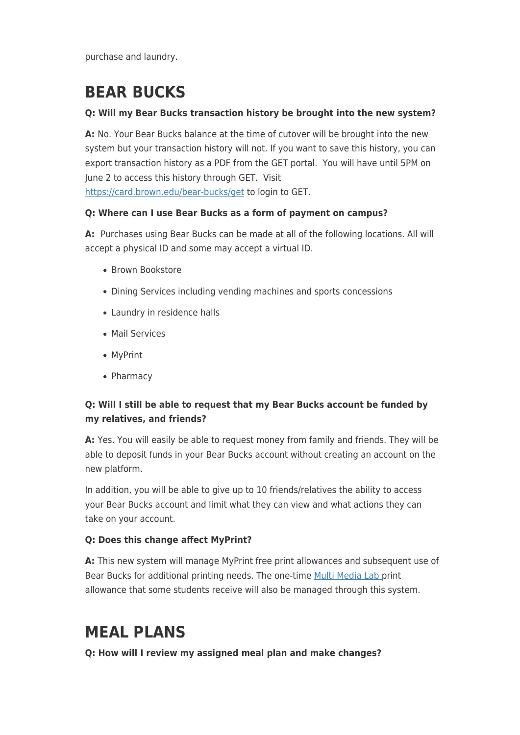purchase and laundry.

# **BEAR BUCKS**

#### **Q: Will my Bear Bucks transaction history be brought into the new system?**

**A:** No. Your Bear Bucks balance at the time of cutover will be brought into the new system but your transaction history will not. If you want to save this history, you can export transaction history as a PDF from the GET portal. You will have until 5PM on June 2 to access this history through GET. Visit <https://card.brown.edu/bear-bucks/get>to login to GET.

#### **Q: Where can I use Bear Bucks as a form of payment on campus?**

**A:** Purchases using Bear Bucks can be made at all of the following locations. All will accept a physical ID and some may accept a virtual ID.

- Brown Bookstore
- Dining Services including vending machines and sports concessions
- Laundry in residence halls
- Mail Services
- MyPrint
- Pharmacy

## **Q: Will I still be able to request that my Bear Bucks account be funded by my relatives, and friends?**

**A:** Yes. You will easily be able to request money from family and friends. They will be able to deposit funds in your Bear Bucks account without creating an account on the new platform.

In addition, you will be able to give up to 10 friends/relatives the ability to access your Bear Bucks account and limit what they can view and what actions they can take on your account.

### **Q: Does this change affect MyPrint?**

**A:** This new system will manage MyPrint free print allowances and subsequent use of Bear Bucks for additional printing needs. The one-time [Multi Media Lab](https://it.brown.edu/services/type/multimedia-labs) print allowance that some students receive will also be managed through this system.

## **MEAL PLANS**

**Q: How will I review my assigned meal plan and make changes?**